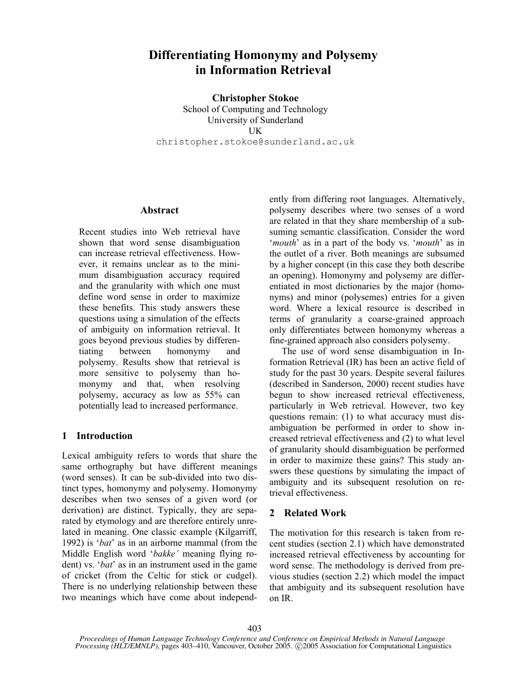# **Differentiating Homonymy and Polysemy in Information Retrieval**

**Christopher Stokoe** 

School of Computing and Technology University of Sunderland UK christopher.stokoe@sunderland.ac.uk

#### **Abstract**

Recent studies into Web retrieval have shown that word sense disambiguation can increase retrieval effectiveness. However, it remains unclear as to the minimum disambiguation accuracy required and the granularity with which one must define word sense in order to maximize these benefits. This study answers these questions using a simulation of the effects of ambiguity on information retrieval. It goes beyond previous studies by differentiating between homonymy and polysemy. Results show that retrieval is more sensitive to polysemy than homonymy and that, when resolving polysemy, accuracy as low as 55% can potentially lead to increased performance.

## **1 Introduction**

Lexical ambiguity refers to words that share the same orthography but have different meanings (word senses). It can be sub-divided into two distinct types, homonymy and polysemy. Homonymy describes when two senses of a given word (or derivation) are distinct. Typically, they are separated by etymology and are therefore entirely unrelated in meaning. One classic example (Kilgarriff, 1992) is '*bat*' as in an airborne mammal (from the Middle English word '*bakke'* meaning flying rodent) vs. '*bat*' as in an instrument used in the game of cricket (from the Celtic for stick or cudgel). There is no underlying relationship between these two meanings which have come about independently from differing root languages. Alternatively, polysemy describes where two senses of a word are related in that they share membership of a subsuming semantic classification. Consider the word '*mouth*' as in a part of the body vs. '*mouth*' as in the outlet of a river. Both meanings are subsumed by a higher concept (in this case they both describe an opening). Homonymy and polysemy are differentiated in most dictionaries by the major (homonyms) and minor (polysemes) entries for a given word. Where a lexical resource is described in terms of granularity a coarse-grained approach only differentiates between homonymy whereas a fine-grained approach also considers polysemy.

The use of word sense disambiguation in Information Retrieval (IR) has been an active field of study for the past 30 years. Despite several failures (described in Sanderson, 2000) recent studies have begun to show increased retrieval effectiveness, particularly in Web retrieval. However, two key questions remain: (1) to what accuracy must disambiguation be performed in order to show increased retrieval effectiveness and (2) to what level of granularity should disambiguation be performed in order to maximize these gains? This study answers these questions by simulating the impact of ambiguity and its subsequent resolution on retrieval effectiveness.

## **2 Related Work**

The motivation for this research is taken from recent studies (section 2.1) which have demonstrated increased retrieval effectiveness by accounting for word sense. The methodology is derived from previous studies (section 2.2) which model the impact that ambiguity and its subsequent resolution have on IR.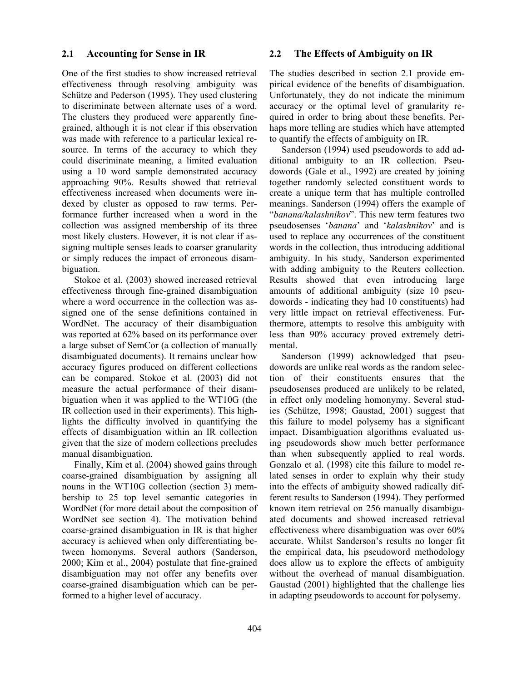#### **2.1 Accounting for Sense in IR**

One of the first studies to show increased retrieval effectiveness through resolving ambiguity was Schütze and Pederson (1995). They used clustering to discriminate between alternate uses of a word. The clusters they produced were apparently finegrained, although it is not clear if this observation was made with reference to a particular lexical resource. In terms of the accuracy to which they could discriminate meaning, a limited evaluation using a 10 word sample demonstrated accuracy approaching 90%. Results showed that retrieval effectiveness increased when documents were indexed by cluster as opposed to raw terms. Performance further increased when a word in the collection was assigned membership of its three most likely clusters. However, it is not clear if assigning multiple senses leads to coarser granularity or simply reduces the impact of erroneous disambiguation.

Stokoe et al. (2003) showed increased retrieval effectiveness through fine-grained disambiguation where a word occurrence in the collection was assigned one of the sense definitions contained in WordNet. The accuracy of their disambiguation was reported at 62% based on its performance over a large subset of SemCor (a collection of manually disambiguated documents). It remains unclear how accuracy figures produced on different collections can be compared. Stokoe et al. (2003) did not measure the actual performance of their disambiguation when it was applied to the WT10G (the IR collection used in their experiments). This highlights the difficulty involved in quantifying the effects of disambiguation within an IR collection given that the size of modern collections precludes manual disambiguation.

Finally, Kim et al. (2004) showed gains through coarse-grained disambiguation by assigning all nouns in the WT10G collection (section 3) membership to 25 top level semantic categories in WordNet (for more detail about the composition of WordNet see section 4). The motivation behind coarse-grained disambiguation in IR is that higher accuracy is achieved when only differentiating between homonyms. Several authors (Sanderson, 2000; Kim et al., 2004) postulate that fine-grained disambiguation may not offer any benefits over coarse-grained disambiguation which can be performed to a higher level of accuracy.

#### **2.2 The Effects of Ambiguity on IR**

The studies described in section 2.1 provide empirical evidence of the benefits of disambiguation. Unfortunately, they do not indicate the minimum accuracy or the optimal level of granularity required in order to bring about these benefits. Perhaps more telling are studies which have attempted to quantify the effects of ambiguity on IR.

Sanderson (1994) used pseudowords to add additional ambiguity to an IR collection. Pseudowords (Gale et al., 1992) are created by joining together randomly selected constituent words to create a unique term that has multiple controlled meanings. Sanderson (1994) offers the example of "*banana/kalashnikov*". This new term features two pseudosenses '*banana*' and '*kalashnikov*' and is used to replace any occurrences of the constituent words in the collection, thus introducing additional ambiguity. In his study, Sanderson experimented with adding ambiguity to the Reuters collection. Results showed that even introducing large amounts of additional ambiguity (size 10 pseudowords - indicating they had 10 constituents) had very little impact on retrieval effectiveness. Furthermore, attempts to resolve this ambiguity with less than 90% accuracy proved extremely detrimental.

Sanderson (1999) acknowledged that pseudowords are unlike real words as the random selection of their constituents ensures that the pseudosenses produced are unlikely to be related, in effect only modeling homonymy. Several studies (Schütze, 1998; Gaustad, 2001) suggest that this failure to model polysemy has a significant impact. Disambiguation algorithms evaluated using pseudowords show much better performance than when subsequently applied to real words. Gonzalo et al. (1998) cite this failure to model related senses in order to explain why their study into the effects of ambiguity showed radically different results to Sanderson (1994). They performed known item retrieval on 256 manually disambiguated documents and showed increased retrieval effectiveness where disambiguation was over 60% accurate. Whilst Sanderson's results no longer fit the empirical data, his pseudoword methodology does allow us to explore the effects of ambiguity without the overhead of manual disambiguation. Gaustad (2001) highlighted that the challenge lies in adapting pseudowords to account for polysemy.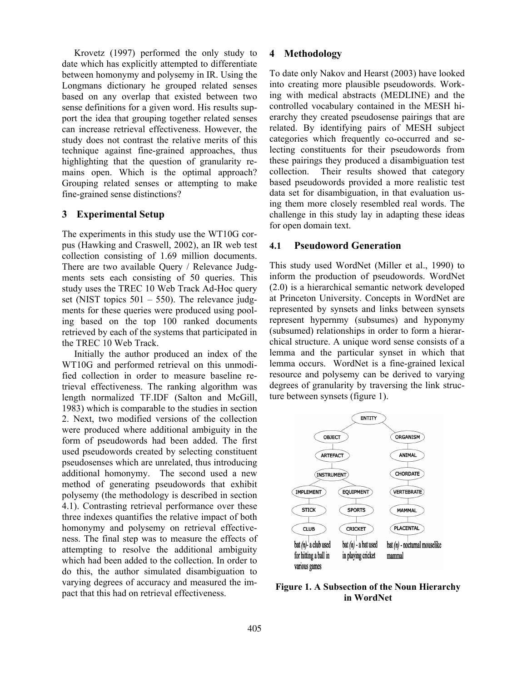Krovetz (1997) performed the only study to date which has explicitly attempted to differentiate between homonymy and polysemy in IR. Using the Longmans dictionary he grouped related senses based on any overlap that existed between two sense definitions for a given word. His results support the idea that grouping together related senses can increase retrieval effectiveness. However, the study does not contrast the relative merits of this technique against fine-grained approaches, thus highlighting that the question of granularity remains open. Which is the optimal approach? Grouping related senses or attempting to make fine-grained sense distinctions?

## **3 Experimental Setup**

The experiments in this study use the WT10G corpus (Hawking and Craswell, 2002), an IR web test collection consisting of 1.69 million documents. There are two available Query / Relevance Judgments sets each consisting of 50 queries. This study uses the TREC 10 Web Track Ad-Hoc query set (NIST topics  $501 - 550$ ). The relevance judgments for these queries were produced using pooling based on the top 100 ranked documents retrieved by each of the systems that participated in the TREC 10 Web Track.

Initially the author produced an index of the WT10G and performed retrieval on this unmodified collection in order to measure baseline retrieval effectiveness. The ranking algorithm was length normalized TF.IDF (Salton and McGill, 1983) which is comparable to the studies in section 2. Next, two modified versions of the collection were produced where additional ambiguity in the form of pseudowords had been added. The first used pseudowords created by selecting constituent pseudosenses which are unrelated, thus introducing additional homonymy. The second used a new method of generating pseudowords that exhibit polysemy (the methodology is described in section 4.1). Contrasting retrieval performance over these three indexes quantifies the relative impact of both homonymy and polysemy on retrieval effectiveness. The final step was to measure the effects of attempting to resolve the additional ambiguity which had been added to the collection. In order to do this, the author simulated disambiguation to varying degrees of accuracy and measured the impact that this had on retrieval effectiveness.

#### **4 Methodology**

To date only Nakov and Hearst (2003) have looked into creating more plausible pseudowords. Working with medical abstracts (MEDLINE) and the controlled vocabulary contained in the MESH hierarchy they created pseudosense pairings that are related. By identifying pairs of MESH subject categories which frequently co-occurred and selecting constituents for their pseudowords from these pairings they produced a disambiguation test collection. Their results showed that category based pseudowords provided a more realistic test data set for disambiguation, in that evaluation using them more closely resembled real words. The challenge in this study lay in adapting these ideas for open domain text.

#### **4.1 Pseudoword Generation**

This study used WordNet (Miller et al., 1990) to inform the production of pseudowords. WordNet (2.0) is a hierarchical semantic network developed at Princeton University. Concepts in WordNet are represented by synsets and links between synsets represent hypernmy (subsumes) and hyponymy (subsumed) relationships in order to form a hierarchical structure. A unique word sense consists of a lemma and the particular synset in which that lemma occurs. WordNet is a fine-grained lexical resource and polysemy can be derived to varying degrees of granularity by traversing the link structure between synsets (figure 1).



**Figure 1. A Subsection of the Noun Hierarchy in WordNet**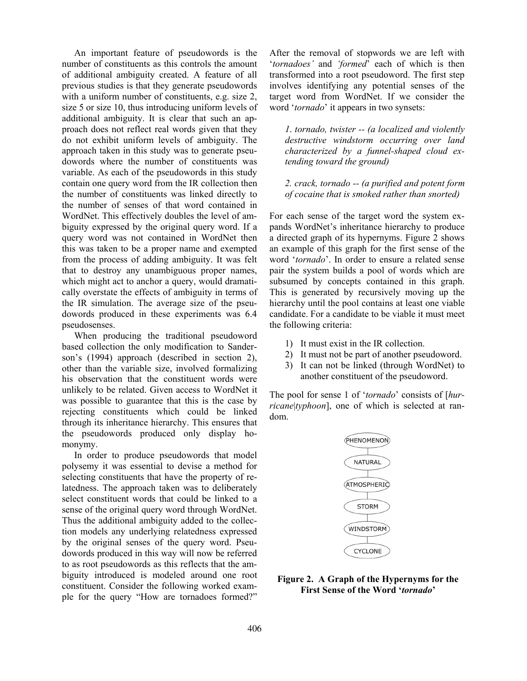An important feature of pseudowords is the number of constituents as this controls the amount of additional ambiguity created. A feature of all previous studies is that they generate pseudowords with a uniform number of constituents, e.g. size 2, size 5 or size 10, thus introducing uniform levels of additional ambiguity. It is clear that such an approach does not reflect real words given that they do not exhibit uniform levels of ambiguity. The approach taken in this study was to generate pseudowords where the number of constituents was variable. As each of the pseudowords in this study contain one query word from the IR collection then the number of constituents was linked directly to the number of senses of that word contained in WordNet. This effectively doubles the level of ambiguity expressed by the original query word. If a query word was not contained in WordNet then this was taken to be a proper name and exempted from the process of adding ambiguity. It was felt that to destroy any unambiguous proper names, which might act to anchor a query, would dramatically overstate the effects of ambiguity in terms of the IR simulation. The average size of the pseudowords produced in these experiments was 6.4 pseudosenses.

When producing the traditional pseudoword based collection the only modification to Sanderson's (1994) approach (described in section 2), other than the variable size, involved formalizing his observation that the constituent words were unlikely to be related. Given access to WordNet it was possible to guarantee that this is the case by rejecting constituents which could be linked through its inheritance hierarchy. This ensures that the pseudowords produced only display homonymy.

In order to produce pseudowords that model polysemy it was essential to devise a method for selecting constituents that have the property of relatedness. The approach taken was to deliberately select constituent words that could be linked to a sense of the original query word through WordNet. Thus the additional ambiguity added to the collection models any underlying relatedness expressed by the original senses of the query word. Pseudowords produced in this way will now be referred to as root pseudowords as this reflects that the ambiguity introduced is modeled around one root constituent. Consider the following worked example for the query "How are tornadoes formed?" After the removal of stopwords we are left with '*tornadoes'* and *'formed*' each of which is then transformed into a root pseudoword. The first step involves identifying any potential senses of the target word from WordNet. If we consider the word '*tornado*' it appears in two synsets:

*1*. *tornado, twister -- (a localized and violently destructive windstorm occurring over land characterized by a funnel-shaped cloud extending toward the ground)* 

*2. crack, tornado -- (a purified and potent form of cocaine that is smoked rather than snorted)* 

For each sense of the target word the system expands WordNet's inheritance hierarchy to produce a directed graph of its hypernyms. Figure 2 shows an example of this graph for the first sense of the word '*tornado*'. In order to ensure a related sense pair the system builds a pool of words which are subsumed by concepts contained in this graph. This is generated by recursively moving up the hierarchy until the pool contains at least one viable candidate. For a candidate to be viable it must meet the following criteria:

- 1) It must exist in the IR collection.
- 2) It must not be part of another pseudoword.
- 3) It can not be linked (through WordNet) to another constituent of the pseudoword.

The pool for sense 1 of '*tornado*' consists of [*hurricane*|*typhoon*], one of which is selected at random.



## **Figure 2. A Graph of the Hypernyms for the First Sense of the Word '***tornado***'**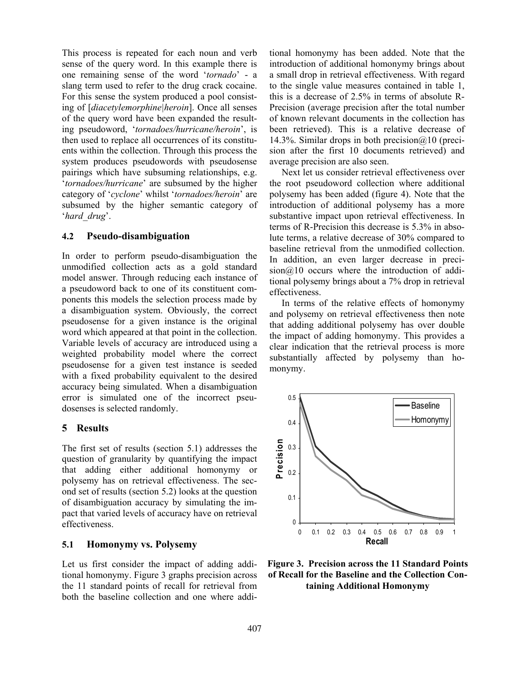This process is repeated for each noun and verb sense of the query word. In this example there is one remaining sense of the word '*tornado*' - a slang term used to refer to the drug crack cocaine. For this sense the system produced a pool consisting of [*diacetylemorphine|heroin*]. Once all senses of the query word have been expanded the resulting pseudoword, '*tornadoes/hurricane/heroin*', is then used to replace all occurrences of its constituents within the collection. Through this process the system produces pseudowords with pseudosense pairings which have subsuming relationships, e.g. '*tornadoes/hurricane*' are subsumed by the higher category of '*cyclone*' whilst '*tornadoes/heroin*' are subsumed by the higher semantic category of '*hard\_drug*'.

## **4.2 Pseudo-disambiguation**

In order to perform pseudo-disambiguation the unmodified collection acts as a gold standard model answer. Through reducing each instance of a pseudoword back to one of its constituent components this models the selection process made by a disambiguation system. Obviously, the correct pseudosense for a given instance is the original word which appeared at that point in the collection. Variable levels of accuracy are introduced using a weighted probability model where the correct pseudosense for a given test instance is seeded with a fixed probability equivalent to the desired accuracy being simulated. When a disambiguation error is simulated one of the incorrect pseudosenses is selected randomly.

## **5 Results**

The first set of results (section 5.1) addresses the question of granularity by quantifying the impact that adding either additional homonymy or polysemy has on retrieval effectiveness. The second set of results (section 5.2) looks at the question of disambiguation accuracy by simulating the impact that varied levels of accuracy have on retrieval effectiveness.

## **5.1 Homonymy vs. Polysemy**

Let us first consider the impact of adding additional homonymy. Figure 3 graphs precision across the 11 standard points of recall for retrieval from both the baseline collection and one where additional homonymy has been added. Note that the introduction of additional homonymy brings about a small drop in retrieval effectiveness. With regard to the single value measures contained in table 1, this is a decrease of 2.5% in terms of absolute R-Precision (average precision after the total number of known relevant documents in the collection has been retrieved). This is a relative decrease of 14.3%. Similar drops in both precision  $\omega$  10 (precision after the first 10 documents retrieved) and average precision are also seen.

Next let us consider retrieval effectiveness over the root pseudoword collection where additional polysemy has been added (figure 4). Note that the introduction of additional polysemy has a more substantive impact upon retrieval effectiveness. In terms of R-Precision this decrease is 5.3% in absolute terms, a relative decrease of 30% compared to baseline retrieval from the unmodified collection. In addition, an even larger decrease in preci- $\sin(a)10$  occurs where the introduction of additional polysemy brings about a 7% drop in retrieval effectiveness.

In terms of the relative effects of homonymy and polysemy on retrieval effectiveness then note that adding additional polysemy has over double the impact of adding homonymy. This provides a clear indication that the retrieval process is more substantially affected by polysemy than homonymy.



**Figure 3. Precision across the 11 Standard Points of Recall for the Baseline and the Collection Containing Additional Homonymy**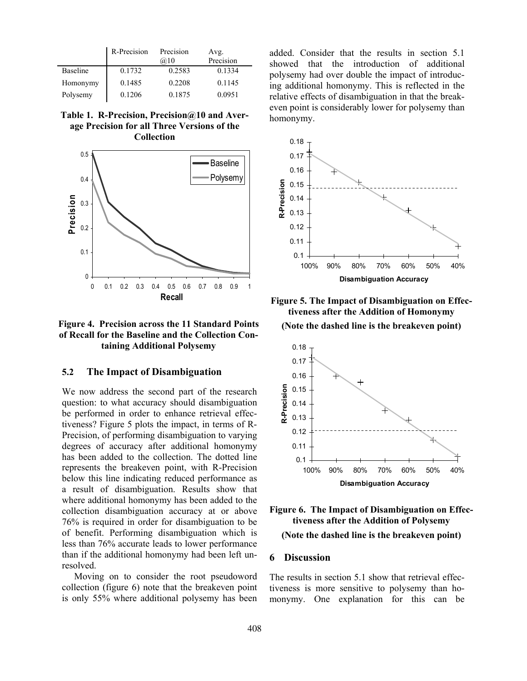|                 | R-Precision | Precision<br>@10 | Avg.<br>Precision |
|-----------------|-------------|------------------|-------------------|
| <b>Baseline</b> | 0.1732      | 0.2583           | 0.1334            |
| Homonymy        | 0.1485      | 0.2208           | 0.1145            |
| Polysemy        | 0.1206      | 0.1875           | 0.0951            |

**Table 1. R-Precision, Precision@10 and Average Precision for all Three Versions of the Collection** 



**Figure 4. Precision across the 11 Standard Points of Recall for the Baseline and the Collection Containing Additional Polysemy** 

#### **5.2 The Impact of Disambiguation**

We now address the second part of the research question: to what accuracy should disambiguation be performed in order to enhance retrieval effectiveness? Figure 5 plots the impact, in terms of R-Precision, of performing disambiguation to varying degrees of accuracy after additional homonymy has been added to the collection. The dotted line represents the breakeven point, with R-Precision below this line indicating reduced performance as a result of disambiguation. Results show that where additional homonymy has been added to the collection disambiguation accuracy at or above 76% is required in order for disambiguation to be of benefit. Performing disambiguation which is less than 76% accurate leads to lower performance than if the additional homonymy had been left unresolved.

Moving on to consider the root pseudoword collection (figure 6) note that the breakeven point is only 55% where additional polysemy has been added. Consider that the results in section 5.1 showed that the introduction of additional polysemy had over double the impact of introducing additional homonymy. This is reflected in the relative effects of disambiguation in that the breakeven point is considerably lower for polysemy than homonymy.



**Figure 5. The Impact of Disambiguation on Effectiveness after the Addition of Homonymy (Note the dashed line is the breakeven point)** 



**Figure 6. The Impact of Disambiguation on Effectiveness after the Addition of Polysemy (Note the dashed line is the breakeven point)** 

#### **6 Discussion**

The results in section 5.1 show that retrieval effectiveness is more sensitive to polysemy than homonymy. One explanation for this can be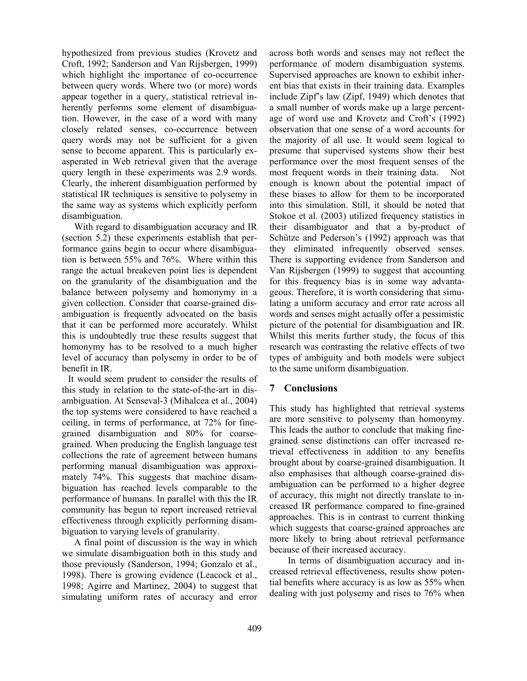hypothesized from previous studies (Krovetz and Croft, 1992; Sanderson and Van Rijsbergen, 1999) which highlight the importance of co-occurrence between query words. Where two (or more) words appear together in a query, statistical retrieval inherently performs some element of disambiguation. However, in the case of a word with many closely related senses, co-occurrence between query words may not be sufficient for a given sense to become apparent. This is particularly exasperated in Web retrieval given that the average query length in these experiments was 2.9 words. Clearly, the inherent disambiguation performed by statistical IR techniques is sensitive to polysemy in the same way as systems which explicitly perform disambiguation.

With regard to disambiguation accuracy and IR (section 5.2) these experiments establish that performance gains begin to occur where disambiguation is between 55% and 76%. Where within this range the actual breakeven point lies is dependent on the granularity of the disambiguation and the balance between polysemy and homonymy in a given collection. Consider that coarse-grained disambiguation is frequently advocated on the basis that it can be performed more accurately. Whilst this is undoubtedly true these results suggest that homonymy has to be resolved to a much higher level of accuracy than polysemy in order to be of benefit in IR.

It would seem prudent to consider the results of this study in relation to the state-of-the-art in disambiguation. At Senseval-3 (Mihalcea et al., 2004) the top systems were considered to have reached a ceiling, in terms of performance, at 72% for finegrained disambiguation and 80% for coarsegrained. When producing the English language test collections the rate of agreement between humans performing manual disambiguation was approximately 74%. This suggests that machine disambiguation has reached levels comparable to the performance of humans. In parallel with this the IR community has begun to report increased retrieval effectiveness through explicitly performing disambiguation to varying levels of granularity.

A final point of discussion is the way in which we simulate disambiguation both in this study and those previously (Sanderson, 1994; Gonzalo et al., 1998). There is growing evidence (Leacock et al., 1998; Agirre and Martinez, 2004) to suggest that simulating uniform rates of accuracy and error across both words and senses may not reflect the performance of modern disambiguation systems. Supervised approaches are known to exhibit inherent bias that exists in their training data. Examples include Zipf's law (Zipf, 1949) which denotes that a small number of words make up a large percentage of word use and Krovetz and Croft's (1992) observation that one sense of a word accounts for the majority of all use. It would seem logical to presume that supervised systems show their best performance over the most frequent senses of the most frequent words in their training data. Not enough is known about the potential impact of these biases to allow for them to be incorporated into this simulation. Still, it should be noted that Stokoe et al. (2003) utilized frequency statistics in their disambiguator and that a by-product of Schütze and Pederson's (1992) approach was that they eliminated infrequently observed senses. There is supporting evidence from Sanderson and Van Rijsbergen (1999) to suggest that accounting for this frequency bias is in some way advantageous. Therefore, it is worth considering that simulating a uniform accuracy and error rate across all words and senses might actually offer a pessimistic picture of the potential for disambiguation and IR. Whilst this merits further study, the focus of this research was contrasting the relative effects of two types of ambiguity and both models were subject to the same uniform disambiguation.

## **7 Conclusions**

This study has highlighted that retrieval systems are more sensitive to polysemy than homonymy. This leads the author to conclude that making finegrained sense distinctions can offer increased retrieval effectiveness in addition to any benefits brought about by coarse-grained disambiguation. It also emphasises that although coarse-grained disambiguation can be performed to a higher degree of accuracy, this might not directly translate to increased IR performance compared to fine-grained approaches. This is in contrast to current thinking which suggests that coarse-grained approaches are more likely to bring about retrieval performance because of their increased accuracy.

In terms of disambiguation accuracy and increased retrieval effectiveness, results show potential benefits where accuracy is as low as 55% when dealing with just polysemy and rises to 76% when